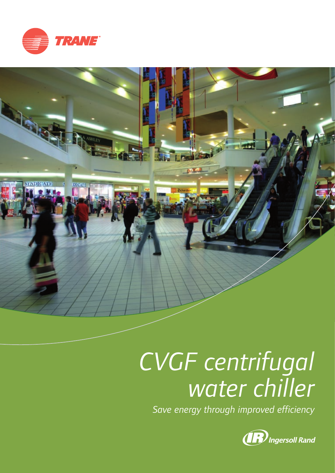



# *CVGF centrifugal water chiller*

*Save energy through improved efficiency*

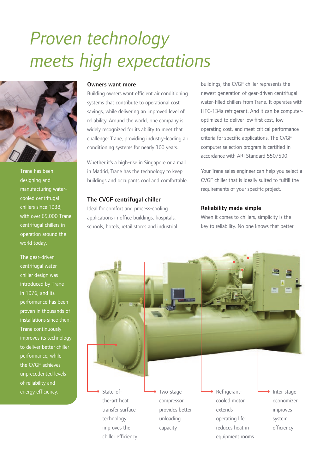## *Proven technology meets high expectations*



Trane has been designing and manufacturing watercooled centrifugal chillers since 1938, with over 65,000 Trane centrifugal chillers in operation around the world today.

The gear-driven centrifugal water chiller design was introduced by Trane in 1976, and its performance has been proven in thousands of installations since then. Trane continuously improves its technology to deliver better chiller performance, while the CVGF achieves unprecedented levels of reliability and energy efficiency.

#### Owners want more

Building owners want efficient air conditioning systems that contribute to operational cost savings, while delivering an improved level of reliability. Around the world, one company is widely recognized for its ability to meet that challenge: Trane, providing industry-leading air conditioning systems for nearly 100 years.

Whether it's a high-rise in Singapore or a mall in Madrid, Trane has the technology to keep buildings and occupants cool and comfortable.

#### The CVGF centrifugal chiller

Ideal for comfort and process-cooling applications in office buildings, hospitals, schools, hotels, retail stores and industrial buildings, the CVGF chiller represents the newest generation of gear-driven centrifugal water-filled chillers from Trane. It operates with HFC-134a refrigerant. And it can be computeroptimized to deliver low first cost, low operating cost, and meet critical performance criteria for specific applications. The CVGF computer selection program is certified in accordance with ARI Standard 550/590.

Your Trane sales engineer can help you select a CVGF chiller that is ideally suited to fulfill the requirements of your specific project.

#### Reliability made simple

When it comes to chillers, simplicity is the key to reliability. No one knows that better

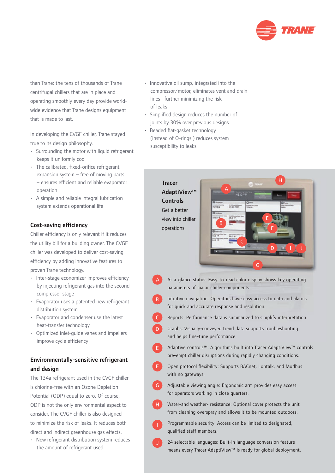

than Trane: the tens of thousands of Trane centrifugal chillers that are in place and operating smoothly every day provide worldwide evidence that Trane designs equipment that is made to last.

In developing the CVGF chiller, Trane stayed true to its design philosophy.

- Surrounding the motor with liquid refrigerant keeps it uniformly cool
- $\cdot$  The calibrated, fixed-orifice refrigerant expansion system – free of moving parts – ensures efficient and reliable evaporator operation
- A simple and reliable integral lubrication system extends operational life

#### Cost-saving efficiency

Chiller efficiency is only relevant if it reduces the utility bill for a building owner. The CVGF chiller was developed to deliver cost-saving efficiency by adding innovative features to proven Trane technology.

- Inter-stage economizer improves efficiency by injecting refrigerant gas into the second compressor stage
- Evaporator uses a patented new refrigerant distribution system
- Evaporator and condenser use the latest heat-transfer technology
- Optimized inlet-guide vanes and impellers improve cycle efficiency

#### Environmentally-sensitive refrigerant and design

The 134a refrigerant used in the CVGF chiller is chlorine-free with an Ozone Depletion Potential (ODP) equal to zero. Of course, ODP is not the only environmental aspect to consider. The CVGF chiller is also designed to minimize the risk of leaks. It reduces both direct and indirect greenhouse gas effects.

• New refrigerant distribution system reduces the amount of refrigerant used

- Innovative oil sump, integrated into the compressor/motor, eliminates vent and drain lines –further minimizing the risk of leaks
- Simplified design reduces the number of joints by 30% over previous designs
- Beaded flat-gasket technology (instead of O-rings ) reduces system susceptibility to leaks

#### **Tracer** AdaptiView™ **Controls** Get a better view into chiller operations.



- At-a-glance status: Easy-to-read color display shows key operating parameters of major chiller components.
- Intuitive navigation: Operators have easy access to data and alarms for quick and accurate response and resolution.
- Reports: Performance data is summarized to simplify interpretation.
- Graphs: Visually-conveyed trend data supports troubleshooting  $\overline{D}$ and helps fine-tune performance.
- Adaptive controls™: Algorithms built into Tracer AdaptiView™ controls pre-empt chiller disruptions during rapidly changing conditions.
- Open protocol flexibility: Supports BACnet, Lontalk, and Modbus with no gateways.
- Adjustable viewing angle: Ergonomic arm provides easy access for operators working in close quarters.
- Water-and weather- resistance: Optional cover protects the unit from cleaning overspray and allows it to be mounted outdoors.
- Programmable security: Access can be limited to designated, qualified staff members.
- 24 selectable languages: Built-in language conversion feature means every Tracer AdaptiView™ is ready for global deployment.